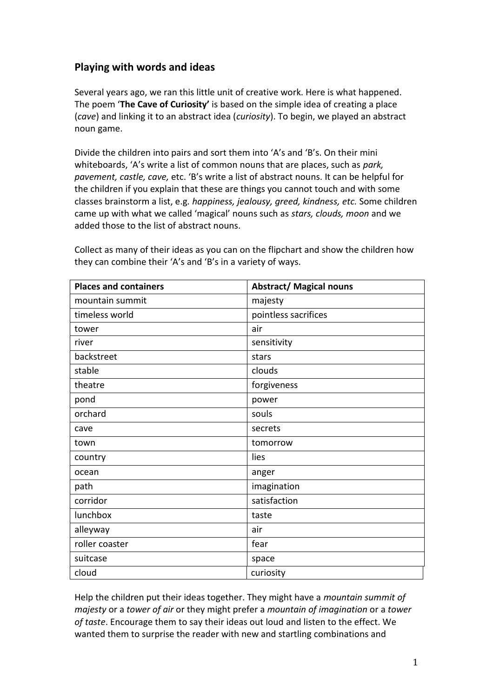# **Playing with words and ideas**

Several years ago, we ran this little unit of creative work. Here is what happened. The poem '**The Cave of Curiosity'** is based on the simple idea of creating a place (*cave*) and linking it to an abstract idea (*curiosity*). To begin, we played an abstract noun game.

Divide the children into pairs and sort them into 'A's and 'B's. On their mini whiteboards, 'A's write a list of common nouns that are places, such as *park, pavement, castle, cave,* etc. 'B's write a list of abstract nouns. It can be helpful for the children if you explain that these are things you cannot touch and with some classes brainstorm a list, e.g*. happiness, jealousy, greed, kindness, etc.* Some children came up with what we called 'magical' nouns such as *stars, clouds, moon* and we added those to the list of abstract nouns.

| <b>Places and containers</b> | <b>Abstract/ Magical nouns</b> |
|------------------------------|--------------------------------|
| mountain summit              | majesty                        |
| timeless world               | pointless sacrifices           |
| tower                        | air                            |
| river                        | sensitivity                    |
| backstreet                   | stars                          |
| stable                       | clouds                         |
| theatre                      | forgiveness                    |
| pond                         | power                          |
| orchard                      | souls                          |
| cave                         | secrets                        |
| town                         | tomorrow                       |
| country                      | lies                           |
| ocean                        | anger                          |
| path                         | imagination                    |
| corridor                     | satisfaction                   |
| lunchbox                     | taste                          |
| alleyway                     | air                            |
| roller coaster               | fear                           |
| suitcase                     | space                          |
| cloud                        | curiosity                      |

Collect as many of their ideas as you can on the flipchart and show the children how they can combine their 'A's and 'B's in a variety of ways.

Help the children put their ideas together. They might have a *mountain summit of majesty* or a *tower of air* or they might prefer a *mountain of imagination* or a *tower of taste*. Encourage them to say their ideas out loud and listen to the effect. We wanted them to surprise the reader with new and startling combinations and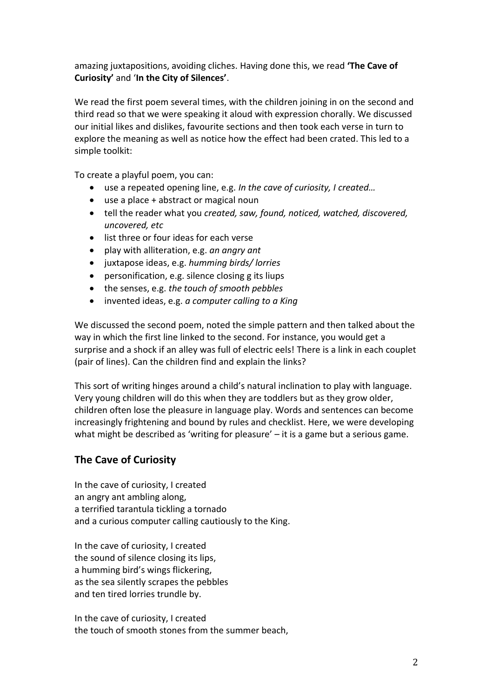amazing juxtapositions, avoiding cliches. Having done this, we read **'The Cave of Curiosity'** and '**In the City of Silences'**.

We read the first poem several times, with the children joining in on the second and third read so that we were speaking it aloud with expression chorally. We discussed our initial likes and dislikes, favourite sections and then took each verse in turn to explore the meaning as well as notice how the effect had been crated. This led to a simple toolkit:

To create a playful poem, you can:

- use a repeated opening line, e.g. *In the cave of curiosity, I created…*
- use a place + abstract or magical noun
- tell the reader what you *created, saw, found, noticed, watched, discovered, uncovered, etc*
- list three or four ideas for each verse
- play with alliteration, e.g. *an angry ant*
- juxtapose ideas, e.g. *humming birds/ lorries*
- personification, e.g. silence closing g its liups
- the senses, e.g. *the touch of smooth pebbles*
- invented ideas, e.g. *a computer calling to a King*

We discussed the second poem, noted the simple pattern and then talked about the way in which the first line linked to the second. For instance, you would get a surprise and a shock if an alley was full of electric eels! There is a link in each couplet (pair of lines). Can the children find and explain the links?

This sort of writing hinges around a child's natural inclination to play with language. Very young children will do this when they are toddlers but as they grow older, children often lose the pleasure in language play. Words and sentences can become increasingly frightening and bound by rules and checklist. Here, we were developing what might be described as 'writing for pleasure' – it is a game but a serious game.

# **The Cave of Curiosity**

In the cave of curiosity, I created an angry ant ambling along, a terrified tarantula tickling a tornado and a curious computer calling cautiously to the King.

In the cave of curiosity, I created the sound of silence closing its lips, a humming bird's wings flickering, as the sea silently scrapes the pebbles and ten tired lorries trundle by.

In the cave of curiosity, I created the touch of smooth stones from the summer beach,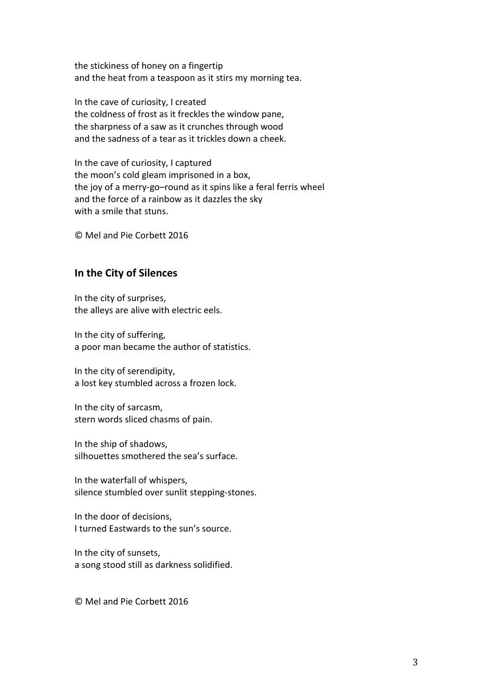the stickiness of honey on a fingertip and the heat from a teaspoon as it stirs my morning tea.

In the cave of curiosity, I created the coldness of frost as it freckles the window pane, the sharpness of a saw as it crunches through wood and the sadness of a tear as it trickles down a cheek.

In the cave of curiosity, I captured the moon's cold gleam imprisoned in a box, the joy of a merry-go–round as it spins like a feral ferris wheel and the force of a rainbow as it dazzles the sky with a smile that stuns.

© Mel and Pie Corbett 2016

### **In the City of Silences**

In the city of surprises, the alleys are alive with electric eels.

In the city of suffering, a poor man became the author of statistics.

In the city of serendipity, a lost key stumbled across a frozen lock.

In the city of sarcasm, stern words sliced chasms of pain.

In the ship of shadows, silhouettes smothered the sea's surface.

In the waterfall of whispers, silence stumbled over sunlit stepping-stones.

In the door of decisions, I turned Eastwards to the sun's source.

In the city of sunsets, a song stood still as darkness solidified.

© Mel and Pie Corbett 2016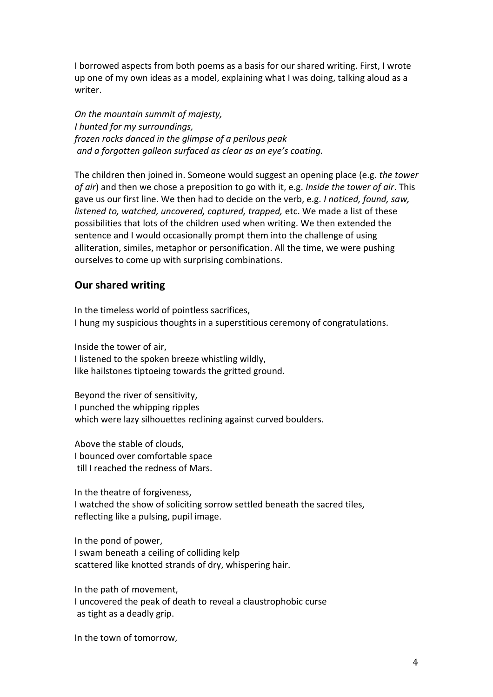I borrowed aspects from both poems as a basis for our shared writing. First, I wrote up one of my own ideas as a model, explaining what I was doing, talking aloud as a writer.

*On the mountain summit of majesty, I hunted for my surroundings, frozen rocks danced in the glimpse of a perilous peak and a forgotten galleon surfaced as clear as an eye's coating.*

The children then joined in. Someone would suggest an opening place (e.g. *the tower of air*) and then we chose a preposition to go with it, e.g. *Inside the tower of air*. This gave us our first line. We then had to decide on the verb, e.g. *I noticed, found, saw, listened to, watched, uncovered, captured, trapped,* etc. We made a list of these possibilities that lots of the children used when writing. We then extended the sentence and I would occasionally prompt them into the challenge of using alliteration, similes, metaphor or personification. All the time, we were pushing ourselves to come up with surprising combinations.

### **Our shared writing**

In the timeless world of pointless sacrifices, I hung my suspicious thoughts in a superstitious ceremony of congratulations.

Inside the tower of air, I listened to the spoken breeze whistling wildly, like hailstones tiptoeing towards the gritted ground.

Beyond the river of sensitivity, I punched the whipping ripples which were lazy silhouettes reclining against curved boulders.

Above the stable of clouds, I bounced over comfortable space till I reached the redness of Mars.

In the theatre of forgiveness, I watched the show of soliciting sorrow settled beneath the sacred tiles, reflecting like a pulsing, pupil image.

In the pond of power, I swam beneath a ceiling of colliding kelp scattered like knotted strands of dry, whispering hair.

In the path of movement, I uncovered the peak of death to reveal a claustrophobic curse as tight as a deadly grip.

In the town of tomorrow,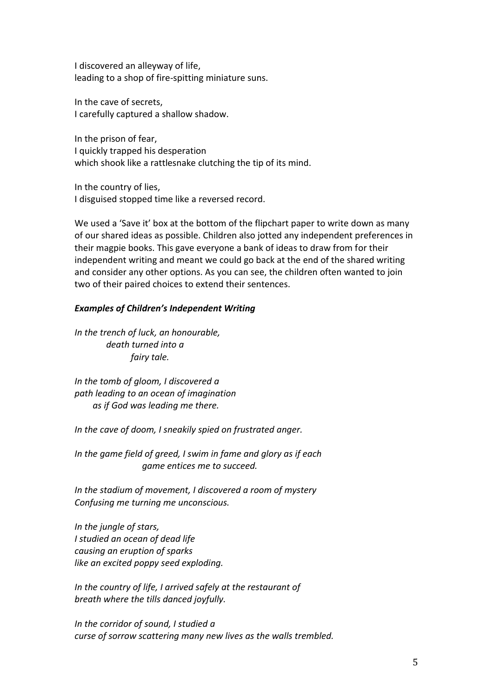I discovered an alleyway of life, leading to a shop of fire-spitting miniature suns.

In the cave of secrets, I carefully captured a shallow shadow.

In the prison of fear, I quickly trapped his desperation which shook like a rattlesnake clutching the tip of its mind.

In the country of lies, I disguised stopped time like a reversed record.

We used a 'Save it' box at the bottom of the flipchart paper to write down as many of our shared ideas as possible. Children also jotted any independent preferences in their magpie books. This gave everyone a bank of ideas to draw from for their independent writing and meant we could go back at the end of the shared writing and consider any other options. As you can see, the children often wanted to join two of their paired choices to extend their sentences.

#### *Examples of Children's Independent Writing*

*In the trench of luck, an honourable, death turned into a fairy tale.*

*In the tomb of gloom, I discovered a path leading to an ocean of imagination as if God was leading me there.*

*In the cave of doom, I sneakily spied on frustrated anger.* 

*In the game field of greed, I swim in fame and glory as if each game entices me to succeed.*

*In the stadium of movement, I discovered a room of mystery Confusing me turning me unconscious.*

*In the jungle of stars, I studied an ocean of dead life causing an eruption of sparks like an excited poppy seed exploding.*

*In the country of life, I arrived safely at the restaurant of breath where the tills danced joyfully.*

*In the corridor of sound, I studied a curse of sorrow scattering many new lives as the walls trembled.*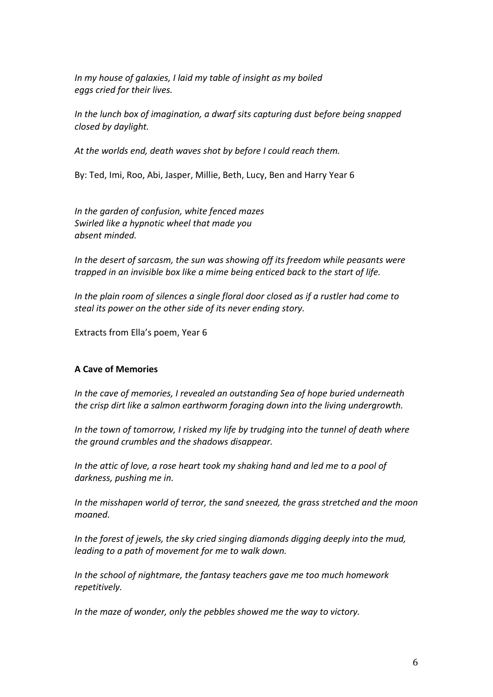*In my house of galaxies, I laid my table of insight as my boiled eggs cried for their lives.*

*In the lunch box of imagination, a dwarf sits capturing dust before being snapped closed by daylight.*

*At the worlds end, death waves shot by before I could reach them.*

By: Ted, Imi, Roo, Abi, Jasper, Millie, Beth, Lucy, Ben and Harry Year 6

*In the garden of confusion, white fenced mazes Swirled like a hypnotic wheel that made you absent minded.*

*In the desert of sarcasm, the sun was showing off its freedom while peasants were trapped in an invisible box like a mime being enticed back to the start of life.*

*In the plain room of silences a single floral door closed as if a rustler had come to steal its power on the other side of its never ending story.*

Extracts from Ella's poem, Year 6

#### **A Cave of Memories**

*In the cave of memories, I revealed an outstanding Sea of hope buried underneath the crisp dirt like a salmon earthworm foraging down into the living undergrowth.*

*In the town of tomorrow, I risked my life by trudging into the tunnel of death where the ground crumbles and the shadows disappear.*

*In the attic of love, a rose heart took my shaking hand and led me to a pool of darkness, pushing me in.*

*In the misshapen world of terror, the sand sneezed, the grass stretched and the moon moaned.*

*In the forest of jewels, the sky cried singing diamonds digging deeply into the mud, leading to a path of movement for me to walk down.*

*In the school of nightmare, the fantasy teachers gave me too much homework repetitively.*

*In the maze of wonder, only the pebbles showed me the way to victory.*